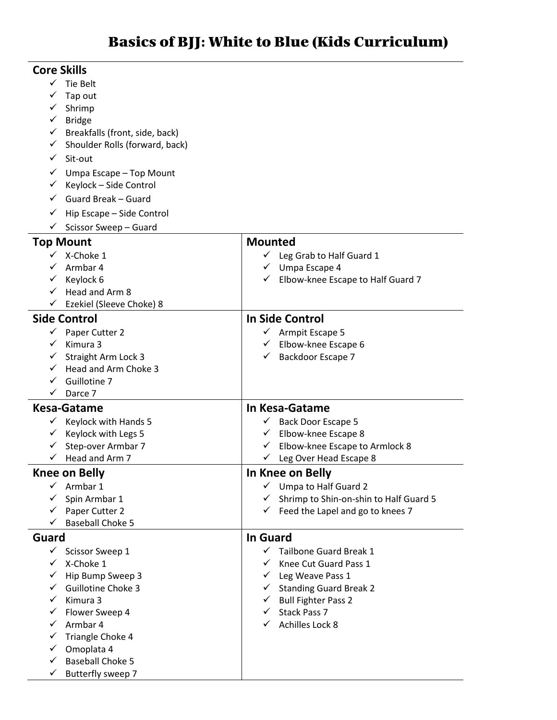| <b>Core Skills</b>           |                                              |                                               |
|------------------------------|----------------------------------------------|-----------------------------------------------|
| $\checkmark$                 | Tie Belt                                     |                                               |
|                              | Tap out                                      |                                               |
|                              | Shrimp                                       |                                               |
| ✓                            | <b>Bridge</b>                                |                                               |
| ✓                            | Breakfalls (front, side, back)               |                                               |
| ✓                            | Shoulder Rolls (forward, back)               |                                               |
| ✓                            | Sit-out                                      |                                               |
| ✓                            | Umpa Escape - Top Mount                      |                                               |
| ✓                            | Keylock - Side Control                       |                                               |
|                              | Guard Break - Guard                          |                                               |
| ✓                            | Hip Escape - Side Control                    |                                               |
| ✓                            | Scissor Sweep - Guard                        |                                               |
|                              | <b>Top Mount</b>                             | <b>Mounted</b>                                |
|                              | X-Choke 1                                    | Leg Grab to Half Guard 1                      |
| ✓                            | Armbar 4                                     | Umpa Escape 4<br>✓                            |
| ✓                            | Keylock 6                                    | Elbow-knee Escape to Half Guard 7<br>✓        |
|                              | Head and Arm 8                               |                                               |
|                              | Ezekiel (Sleeve Choke) 8                     |                                               |
|                              | <b>Side Control</b>                          | <b>In Side Control</b>                        |
| ✓                            | Paper Cutter 2                               | Armpit Escape 5                               |
| ✓                            | Kimura 3                                     | Elbow-knee Escape 6<br>✓                      |
| ✓                            | Straight Arm Lock 3                          | Backdoor Escape 7                             |
| ✓                            | Head and Arm Choke 3                         |                                               |
| ✓                            | Guillotine 7                                 |                                               |
|                              |                                              |                                               |
| ✓                            | Darce 7                                      |                                               |
|                              | Kesa-Gatame                                  | In Kesa-Gatame                                |
| ✓                            | Keylock with Hands 5                         | Back Door Escape 5<br>✓                       |
| ✓                            | Keylock with Legs 5                          | Elbow-knee Escape 8<br>✓                      |
|                              | Step-over Armbar 7                           | Elbow-knee Escape to Armlock 8<br>✓           |
| ✓                            | Head and Arm 7                               | Leg Over Head Escape 8<br>✓                   |
|                              | <b>Knee on Belly</b>                         | In Knee on Belly                              |
| ✓                            | Armbar 1                                     | Umpa to Half Guard 2<br>✓                     |
| ✓                            | Spin Armbar 1                                | Shrimp to Shin-on-shin to Half Guard 5        |
| ✓                            | Paper Cutter 2                               | $\checkmark$ Feed the Lapel and go to knees 7 |
| ✓                            | <b>Baseball Choke 5</b>                      |                                               |
| Guard                        |                                              | <b>In Guard</b>                               |
|                              | $\checkmark$ Scissor Sweep 1                 | Tailbone Guard Break 1<br>$\checkmark$        |
| $\checkmark$                 | X-Choke 1                                    | ✓<br>Knee Cut Guard Pass 1                    |
| ✓                            | Hip Bump Sweep 3                             | Leg Weave Pass 1<br>$\checkmark$              |
| ✓                            | <b>Guillotine Choke 3</b>                    | <b>Standing Guard Break 2</b><br>✓            |
| ✓                            | Kimura 3                                     | <b>Bull Fighter Pass 2</b><br>✓               |
| ✓                            | Flower Sweep 4                               | Stack Pass 7<br>✓                             |
| ✓                            | Armbar 4                                     | Achilles Lock 8<br>✓                          |
| ✓                            | Triangle Choke 4                             |                                               |
| ✓                            | Omoplata 4                                   |                                               |
| $\checkmark$<br>$\checkmark$ | <b>Baseball Choke 5</b><br>Butterfly sweep 7 |                                               |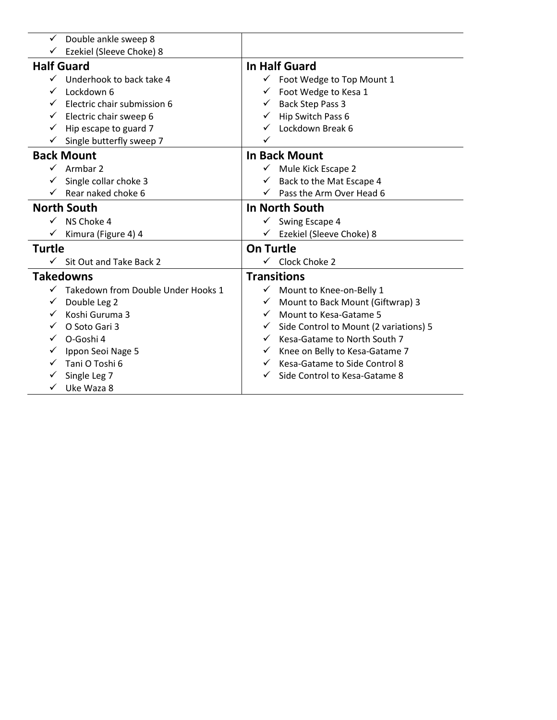| In Half Guard                                  |
|------------------------------------------------|
|                                                |
| Foot Wedge to Top Mount 1                      |
| Foot Wedge to Kesa 1                           |
| Back Step Pass 3<br>$\checkmark$               |
| Hip Switch Pass 6                              |
| Lockdown Break 6                               |
| ✓                                              |
| <b>In Back Mount</b>                           |
| Mule Kick Escape 2                             |
| Back to the Mat Escape 4                       |
| Pass the Arm Over Head 6                       |
| In North South                                 |
| Swing Escape 4<br>$\checkmark$                 |
| Ezekiel (Sleeve Choke) 8                       |
| <b>On Turtle</b>                               |
| Clock Choke 2                                  |
| <b>Transitions</b>                             |
| $\checkmark$<br>Mount to Knee-on-Belly 1       |
| Mount to Back Mount (Giftwrap) 3<br>✓          |
| Mount to Kesa-Gatame 5<br>$\checkmark$         |
| Side Control to Mount (2 variations) 5         |
| Kesa-Gatame to North South 7<br>$\checkmark$   |
| Knee on Belly to Kesa-Gatame 7<br>$\checkmark$ |
| Kesa-Gatame to Side Control 8<br>$\checkmark$  |
|                                                |
| Side Control to Kesa-Gatame 8                  |
|                                                |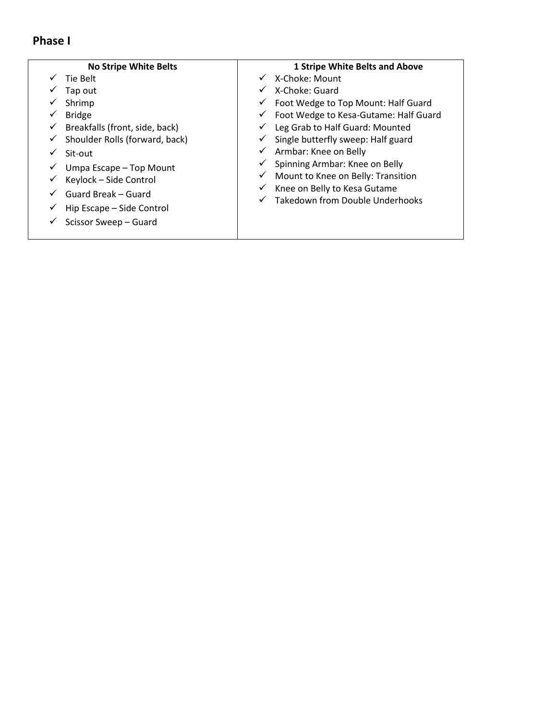#### **Phase I**

- ✓ Tie Belt
- ✓ Tap out
- ✓ Shrimp
- ✓ Bridge
- $\checkmark$  Breakfalls (front, side, back)
- $\checkmark$  Shoulder Rolls (forward, back)
- ✓ Sit-out
- ✓ Umpa Escape Top Mount
- $\checkmark$  Keylock Side Control
- $\checkmark$  Guard Break Guard
- $\checkmark$  Hip Escape Side Control
- $\checkmark$  Scissor Sweep Guard

#### **1 Stripe White Belts and Above**

- ✓ X-Choke: Mount
- ✓ X-Choke: Guard
- ✓ Foot Wedge to Top Mount: Half Guard
- ✓ Foot Wedge to Kesa-Gutame: Half Guard
- ✓ Leg Grab to Half Guard: Mounted
- $\checkmark$  Single butterfly sweep: Half guard
- $\checkmark$  Armbar: Knee on Belly
- ✓ Spinning Armbar: Knee on Belly
- ✓ Mount to Knee on Belly: Transition
- $\checkmark$  Knee on Belly to Kesa Gutame
- ✓ Takedown from Double Underhooks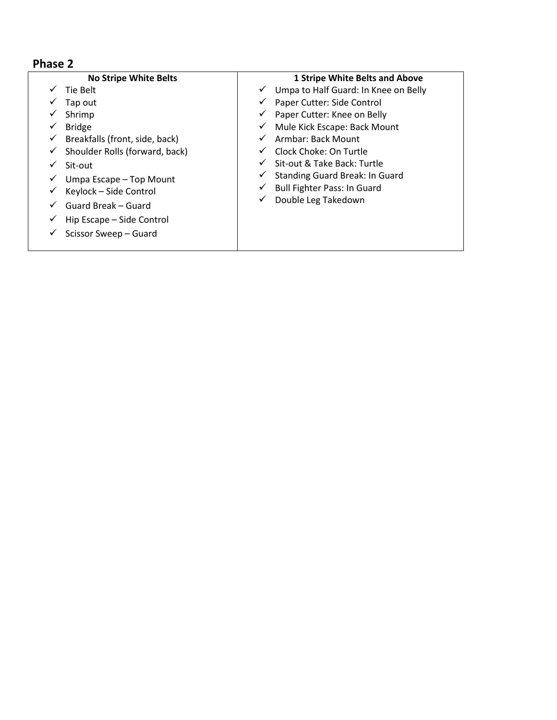| <b>No Stripe White Belts</b>        | <b>1 Stripe White Belts and Above</b>                |
|-------------------------------------|------------------------------------------------------|
| Tie Belt                            | Umpa to Half Guard: In Knee on Belly<br>$\checkmark$ |
| Tap out                             | Paper Cutter: Side Control<br>✓                      |
| Shrimp                              | Paper Cutter: Knee on Belly<br>✓                     |
| <b>Bridge</b>                       | Mule Kick Escape: Back Mount<br>✓                    |
| Breakfalls (front, side, back)<br>✓ | Armbar: Back Mount<br>✓                              |
| Shoulder Rolls (forward, back)<br>✓ | Clock Choke: On Turtle<br>$\checkmark$               |
| Sit-out                             | Sit-out & Take Back: Turtle<br>✓                     |
| Umpa Escape - Top Mount             | <b>Standing Guard Break: In Guard</b><br>✓           |
| Keylock - Side Control<br>✓         | <b>Bull Fighter Pass: In Guard</b><br>✓              |
| Guard Break – Guard                 | Double Leg Takedown<br>✓                             |
| Hip Escape – Side Control           |                                                      |
| Scissor Sweep - Guard               |                                                      |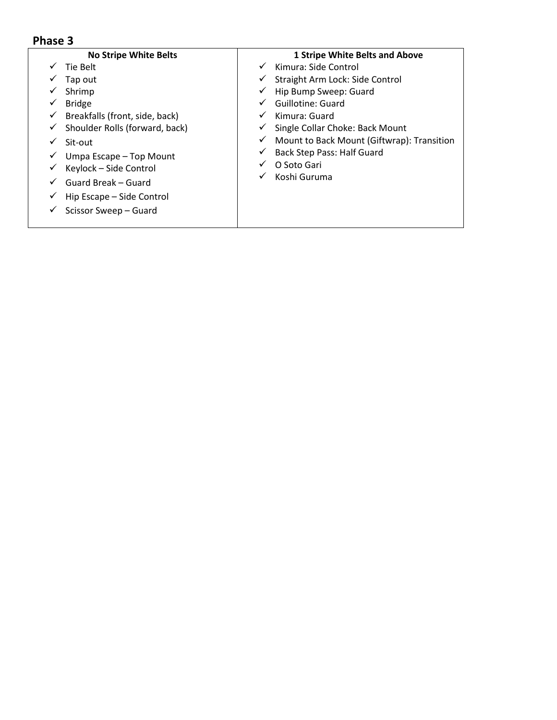| <b>No Stripe White Belts</b>        | <b>1 Stripe White Belts and Above</b>           |
|-------------------------------------|-------------------------------------------------|
| Tie Belt                            | Kimura: Side Control                            |
| Tap out                             | Straight Arm Lock: Side Control<br>$\checkmark$ |
| Shrimp                              | Hip Bump Sweep: Guard<br>✓                      |
| <b>Bridge</b>                       | Guillotine: Guard                               |
| Breakfalls (front, side, back)<br>✓ | Kimura: Guard<br>✓                              |
| Shoulder Rolls (forward, back)<br>✓ | Single Collar Choke: Back Mount                 |
| Sit-out                             | Mount to Back Mount (Giftwrap): Transition<br>✓ |
| Umpa Escape - Top Mount             | <b>Back Step Pass: Half Guard</b>               |
| Keylock - Side Control              | O Soto Gari                                     |
| Guard Break - Guard                 | Koshi Guruma                                    |
| Hip Escape – Side Control           |                                                 |
| Scissor Sweep - Guard               |                                                 |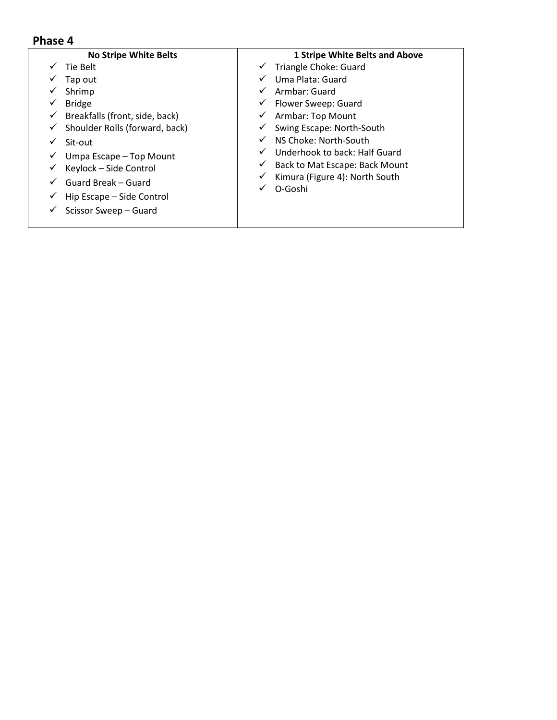| <b>No Stripe White Belts</b>                                                                                                              | <b>1 Stripe White Belts and Above</b>                                                                                                                                                           |
|-------------------------------------------------------------------------------------------------------------------------------------------|-------------------------------------------------------------------------------------------------------------------------------------------------------------------------------------------------|
| Tie Belt<br>Tap out<br>Shrimp<br><b>Bridge</b><br>Breakfalls (front, side, back)<br>✓<br>Shoulder Rolls (forward, back)                   | Triangle Choke: Guard<br>✓<br>Uma Plata: Guard<br>✓<br>Armbar: Guard<br>$\checkmark$<br>Flower Sweep: Guard<br>✓<br>Armbar: Top Mount<br>$\checkmark$<br>Swing Escape: North-South<br>✓         |
| Sit-out<br>Umpa Escape - Top Mount<br>Keylock - Side Control<br>Guard Break – Guard<br>Hip Escape - Side Control<br>Scissor Sweep - Guard | NS Choke: North-South<br>$\checkmark$<br>Underhook to back: Half Guard<br>$\checkmark$<br>Back to Mat Escape: Back Mount<br>✓<br>Kimura (Figure 4): North South<br>✓<br>O-Goshi<br>$\checkmark$ |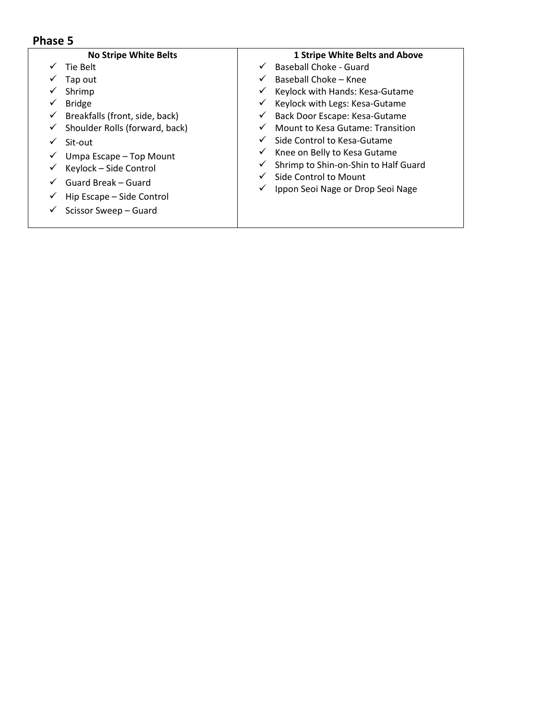| <b>No Stripe White Belts</b>         | <b>1 Stripe White Belts and Above</b> |
|--------------------------------------|---------------------------------------|
| Tie Belt                             | Baseball Choke - Guard                |
| Tap out                              | Baseball Choke - Knee<br>$\checkmark$ |
| Shrimp                               | Keylock with Hands: Kesa-Gutame       |
| <b>Bridge</b>                        | Keylock with Legs: Kesa-Gutame<br>✓   |
| Breakfalls (front, side, back)<br>v  | Back Door Escape: Kesa-Gutame         |
| Shoulder Rolls (forward, back)<br>v. | Mount to Kesa Gutame: Transition      |
| Sit-out                              | Side Control to Kesa-Gutame           |
| Umpa Escape - Top Mount<br>v         | Knee on Belly to Kesa Gutame<br>✓     |
| Keylock - Side Control               | Shrimp to Shin-on-Shin to Half Guard  |
| Guard Break – Guard                  | Side Control to Mount<br>✓            |
| Hip Escape - Side Control            | Ippon Seoi Nage or Drop Seoi Nage     |
| Scissor Sweep - Guard                |                                       |
|                                      |                                       |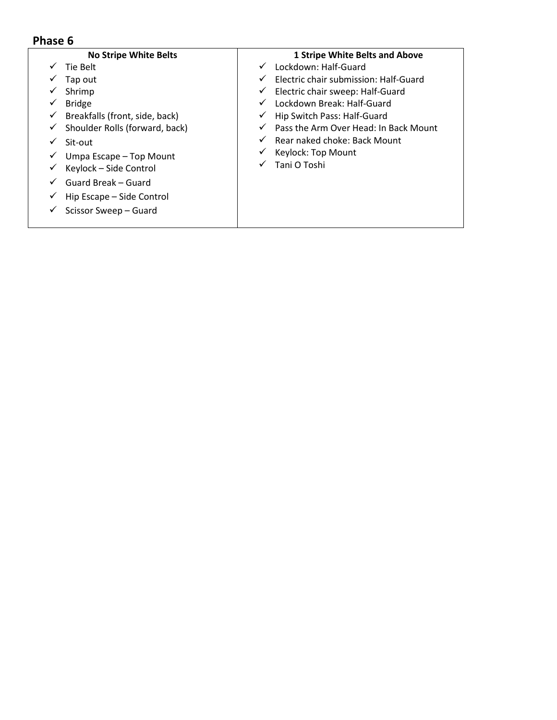| <b>1 Stripe White Belts and Above</b>                 |
|-------------------------------------------------------|
| Lockdown: Half-Guard<br>$\checkmark$                  |
| Electric chair submission: Half-Guard<br>✓            |
| Electric chair sweep: Half-Guard<br>✓                 |
| Lockdown Break: Half-Guard<br>✓                       |
| Hip Switch Pass: Half-Guard<br>v                      |
| Pass the Arm Over Head: In Back Mount<br>$\checkmark$ |
| Rear naked choke: Back Mount<br>✓                     |
| Keylock: Top Mount<br>v                               |
| Tani O Toshi<br>✓                                     |
|                                                       |
|                                                       |
|                                                       |
|                                                       |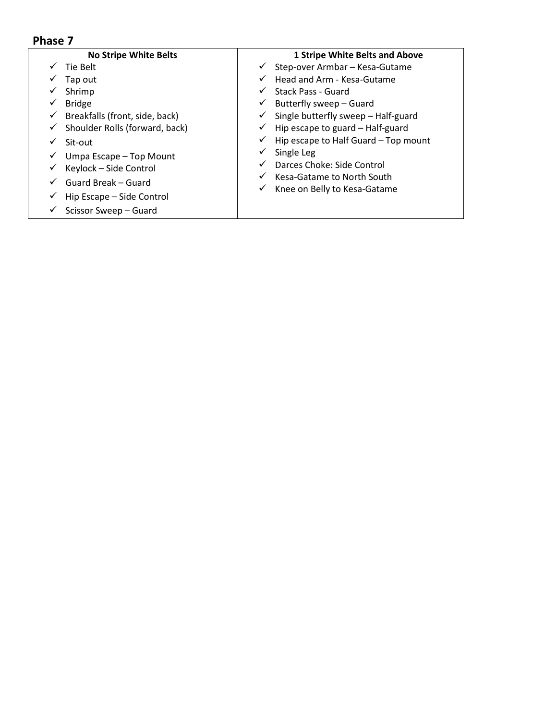| <b>No Stripe White Belts</b>   | <b>1 Stripe White Belts and Above</b>                |
|--------------------------------|------------------------------------------------------|
| Tie Belt                       | Step-over Armbar - Kesa-Gutame<br>✓                  |
| Tap out                        | Head and Arm - Kesa-Gutame<br>$\checkmark$           |
| Shrimp                         | Stack Pass - Guard<br>✓                              |
| <b>Bridge</b>                  | Butterfly sweep - Guard<br>✓                         |
| Breakfalls (front, side, back) | Single butterfly sweep - Half-guard<br>✓             |
| Shoulder Rolls (forward, back) | Hip escape to guard - Half-guard<br>✓                |
| Sit-out                        | Hip escape to Half Guard - Top mount<br>$\checkmark$ |
| Umpa Escape - Top Mount        | Single Leg<br>✓                                      |
| Keylock - Side Control         | Darces Choke: Side Control<br>✓                      |
| Guard Break - Guard            | Kesa-Gatame to North South<br>✓                      |
| Hip Escape - Side Control      | Knee on Belly to Kesa-Gatame<br>✓                    |
| Scissor Sweep - Guard          |                                                      |
|                                |                                                      |